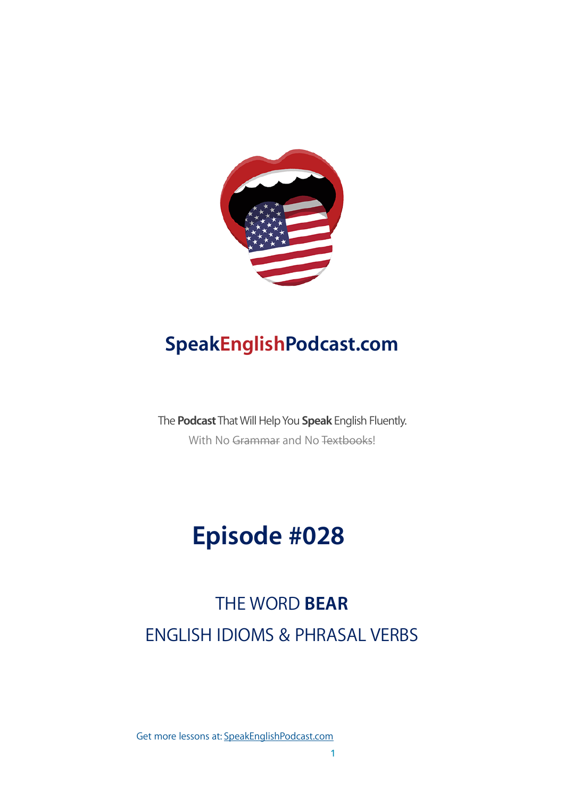

## **SpeakEnglishPodcast.com**

The **Podcast** That Will Help You **Speak** English Fluently. With No Grammar and No Textbooks!

# **Episode #028**

## THE WORD **BEAR** ENGLISH IDIOMS & PHRASAL VERBS

Get more lessons at: [SpeakEnglishPodcast.com](https://www.speakenglishpod.com/)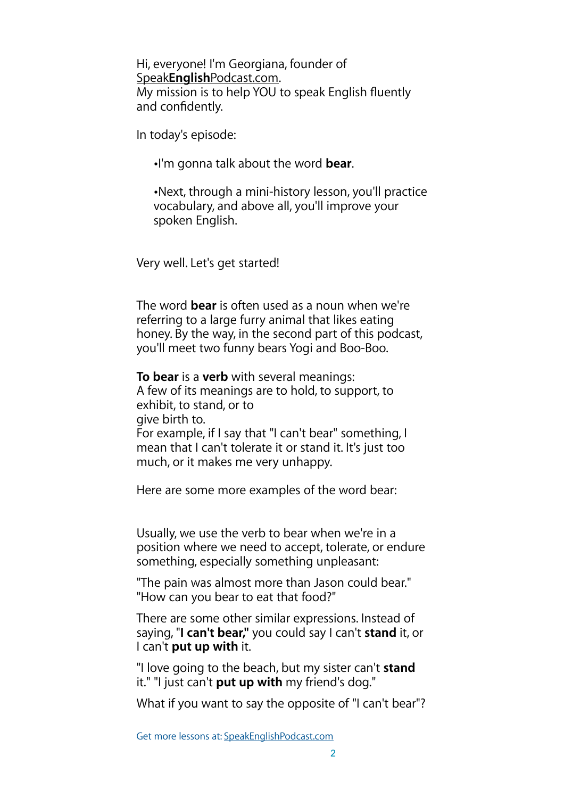Hi, everyone! I'm Georgiana, founder of Speak**English**[Podcast.com.](https://speakenglishpodcast.com) My mission is to help YOU to speak English fluently and confidently.

In today's episode:

•I'm gonna talk about the word **bear**.

•Next, through a mini-history lesson, you'll practice vocabulary, and above all, you'll improve your spoken English.

Very well. Let's get started!

The word **bear** is often used as a noun when we're referring to a large furry animal that likes eating honey. By the way, in the second part of this podcast, you'll meet two funny bears Yogi and Boo-Boo.

**To bear** is a **verb** with several meanings: A few of its meanings are to hold, to support, to exhibit, to stand, or to give birth to. For example, if I say that "I can't bear" something, I mean that I can't tolerate it or stand it. It's just too much, or it makes me very unhappy.

Here are some more examples of the word bear:

Usually, we use the verb to bear when we're in a position where we need to accept, tolerate, or endure something, especially something unpleasant:

"The pain was almost more than Jason could bear." "How can you bear to eat that food?"

There are some other similar expressions. Instead of saying, "**I can't bear,"** you could say I can't **stand** it, or I can't **put up with** it.

"I love going to the beach, but my sister can't **stand**  it." "I just can't **put up with** my friend's dog."

What if you want to say the opposite of "I can't bear"?

Get more lessons at: [SpeakEnglishPodcast.com](https://www.speakenglishpod.com/)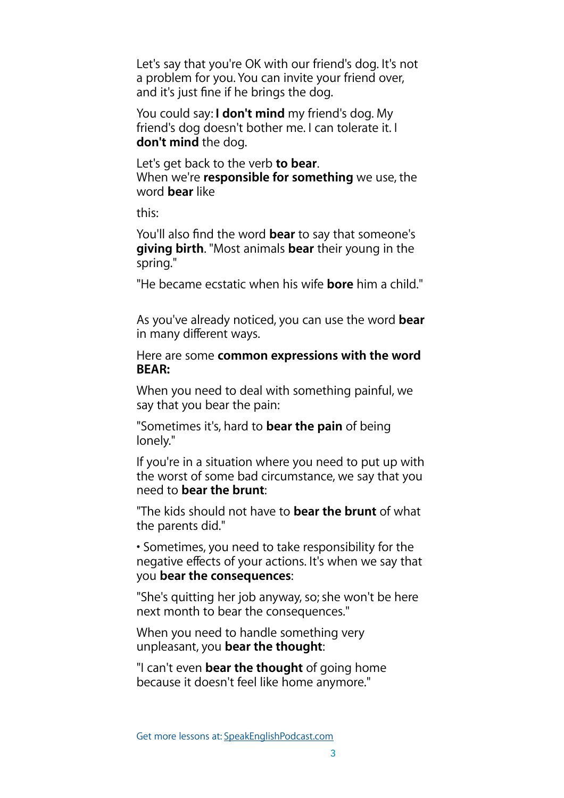Let's say that you're OK with our friend's dog. It's not a problem for you. You can invite your friend over, and it's just fine if he brings the dog.

You could say: **I don't mind** my friend's dog. My friend's dog doesn't bother me. I can tolerate it. I **don't mind** the dog.

Let's get back to the verb **to bear**. When we're **responsible for something** we use, the word **bear** like

this:

You'll also find the word **bear** to say that someone's **giving birth**. "Most animals **bear** their young in the spring."

"He became ecstatic when his wife **bore** him a child."

As you've already noticed, you can use the word **bear**  in many different ways.

Here are some **common expressions with the word BEAR:** 

When you need to deal with something painful, we say that you bear the pain:

"Sometimes it's, hard to **bear the pain** of being lonely."

If you're in a situation where you need to put up with the worst of some bad circumstance, we say that you need to **bear the brunt**:

"The kids should not have to **bear the brunt** of what the parents did."

• Sometimes, you need to take responsibility for the negative effects of your actions. It's when we say that you **bear the consequences**:

"She's quitting her job anyway, so; she won't be here next month to bear the consequences."

When you need to handle something very unpleasant, you **bear the thought**:

"I can't even **bear the thought** of going home because it doesn't feel like home anymore."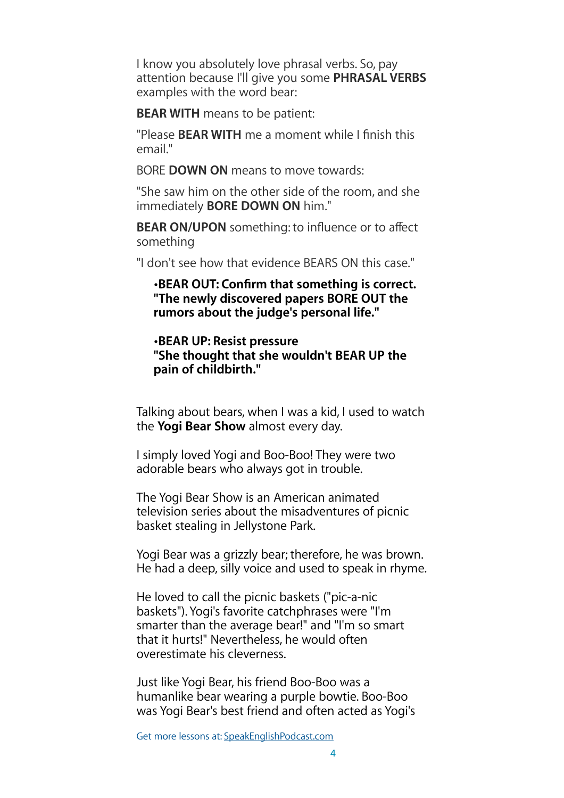I know you absolutely love phrasal verbs. So, pay attention because I'll give you some **PHRASAL VERBS** examples with the word bear:

**BEAR WITH** means to be patient:

"Please **BEAR WITH** me a moment while I finish this email."

BORE **DOWN ON** means to move towards:

"She saw him on the other side of the room, and she immediately **BORE DOWN ON** him."

**BEAR ON/UPON** something: to influence or to affect something

"I don't see how that evidence BEARS ON this case."

•**BEAR OUT: Confirm that something is correct. "The newly discovered papers BORE OUT the rumors about the judge's personal life."** 

#### •**BEAR UP: Resist pressure "She thought that she wouldn't BEAR UP the pain of childbirth."**

Talking about bears, when I was a kid, I used to watch the **Yogi Bear Show** almost every day.

I simply loved Yogi and Boo-Boo! They were two adorable bears who always got in trouble.

The Yogi Bear Show is an American animated television series about the misadventures of picnic basket stealing in Jellystone Park.

Yogi Bear was a grizzly bear; therefore, he was brown. He had a deep, silly voice and used to speak in rhyme.

He loved to call the picnic baskets ("pic-a-nic baskets"). Yogi's favorite catchphrases were "I'm smarter than the average bear!" and "I'm so smart that it hurts!" Nevertheless, he would often overestimate his cleverness.

Just like Yogi Bear, his friend Boo-Boo was a humanlike bear wearing a purple bowtie. Boo-Boo was Yogi Bear's best friend and often acted as Yogi's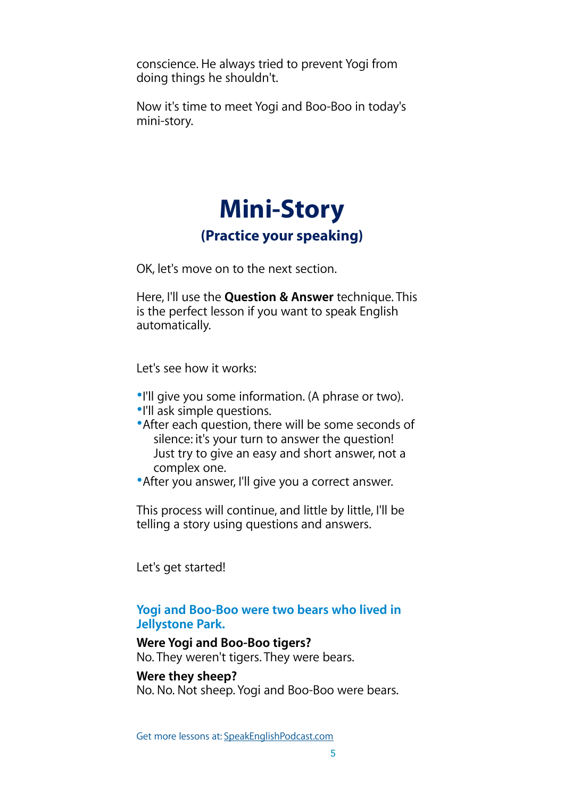conscience. He always tried to prevent Yogi from doing things he shouldn't.

Now it's time to meet Yogi and Boo-Boo in today's mini-story.

## **Mini-Story (Practice your speaking)**

OK, let's move on to the next section.

Here, I'll use the **Question & Answer** technique. This is the perfect lesson if you want to speak English automatically.

Let's see how it works:

- •I'll give you some information. (A phrase or two).
- •I'll ask simple questions.
- •After each question, there will be some seconds of silence: it's your turn to answer the question! Just try to give an easy and short answer, not a complex one.
- •After you answer, I'll give you a correct answer.

This process will continue, and little by little, I'll be telling a story using questions and answers.

Let's get started!

#### **Yogi and Boo-Boo were two bears who lived in Jellystone Park.**

#### **Were Yogi and Boo-Boo tigers?**

No. They weren't tigers. They were bears.

#### **Were they sheep?**

No. No. Not sheep. Yogi and Boo-Boo were bears.

Get more lessons at: [SpeakEnglishPodcast.com](https://www.speakenglishpod.com/)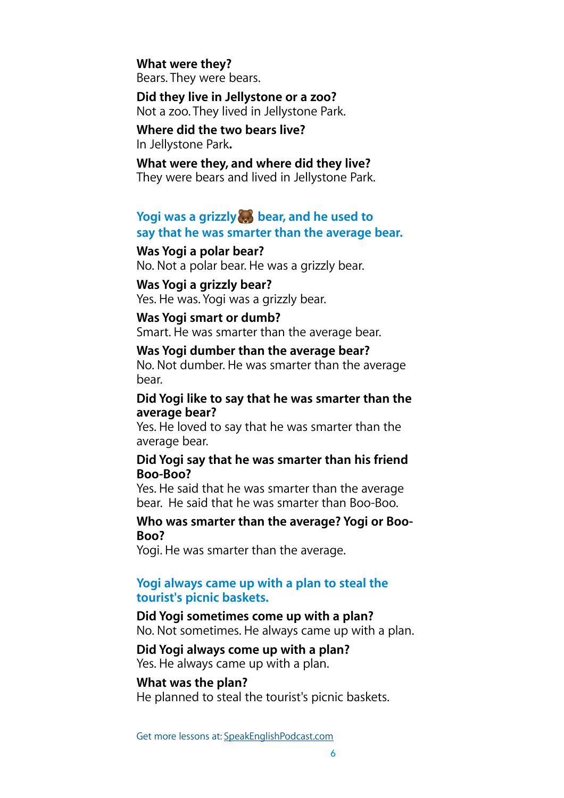#### **What were they?**

Bears. They were bears.

**Did they live in Jellystone or a zoo?**  Not a zoo. They lived in Jellystone Park.

#### **Where did the two bears live?**  In Jellystone Park**.**

#### **What were they, and where did they live?**

They were bears and lived in Jellystone Park.

### **Yogi was a grizzly bear, and he used to say that he was smarter than the average bear.**

#### **Was Yogi a polar bear?**

No. Not a polar bear. He was a grizzly bear.

#### **Was Yogi a grizzly bear?**

Yes. He was. Yogi was a grizzly bear.

#### **Was Yogi smart or dumb?**

Smart. He was smarter than the average bear.

#### **Was Yogi dumber than the average bear?**

No. Not dumber. He was smarter than the average bear.

#### **Did Yogi like to say that he was smarter than the average bear?**

Yes. He loved to say that he was smarter than the average bear.

#### **Did Yogi say that he was smarter than his friend Boo-Boo?**

Yes. He said that he was smarter than the average bear. He said that he was smarter than Boo-Boo.

#### **Who was smarter than the average? Yogi or Boo-Boo?**

Yogi. He was smarter than the average.

#### **Yogi always came up with a plan to steal the tourist's picnic baskets.**

## **Did Yogi sometimes come up with a plan?**

No. Not sometimes. He always came up with a plan.

#### **Did Yogi always come up with a plan?**

Yes. He always came up with a plan.

#### **What was the plan?**

He planned to steal the tourist's picnic baskets.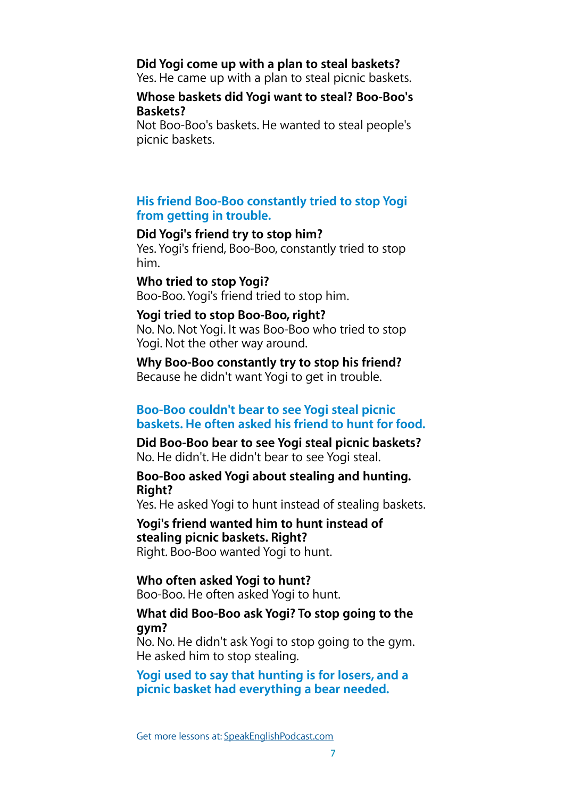#### **Did Yogi come up with a plan to steal baskets?**

Yes. He came up with a plan to steal picnic baskets.

#### **Whose baskets did Yogi want to steal? Boo-Boo's Baskets?**

Not Boo-Boo's baskets. He wanted to steal people's picnic baskets.

#### **His friend Boo-Boo constantly tried to stop Yogi from getting in trouble.**

#### **Did Yogi's friend try to stop him?**

Yes. Yogi's friend, Boo-Boo, constantly tried to stop him.

### **Who tried to stop Yogi?**

Boo-Boo. Yogi's friend tried to stop him.

#### **Yogi tried to stop Boo-Boo, right?**

No. No. Not Yogi. It was Boo-Boo who tried to stop Yogi. Not the other way around.

**Why Boo-Boo constantly try to stop his friend?**  Because he didn't want Yogi to get in trouble.

#### **Boo-Boo couldn't bear to see Yogi steal picnic baskets. He often asked his friend to hunt for food.**

**Did Boo-Boo bear to see Yogi steal picnic baskets?**  No. He didn't. He didn't bear to see Yogi steal.

#### **Boo-Boo asked Yogi about stealing and hunting. Right?**

Yes. He asked Yogi to hunt instead of stealing baskets.

#### **Yogi's friend wanted him to hunt instead of stealing picnic baskets. Right?**  Right. Boo-Boo wanted Yogi to hunt.

#### **Who often asked Yogi to hunt?**

Boo-Boo. He often asked Yogi to hunt.

#### **What did Boo-Boo ask Yogi? To stop going to the gym?**

No. No. He didn't ask Yogi to stop going to the gym. He asked him to stop stealing.

**Yogi used to say that hunting is for losers, and a picnic basket had everything a bear needed.**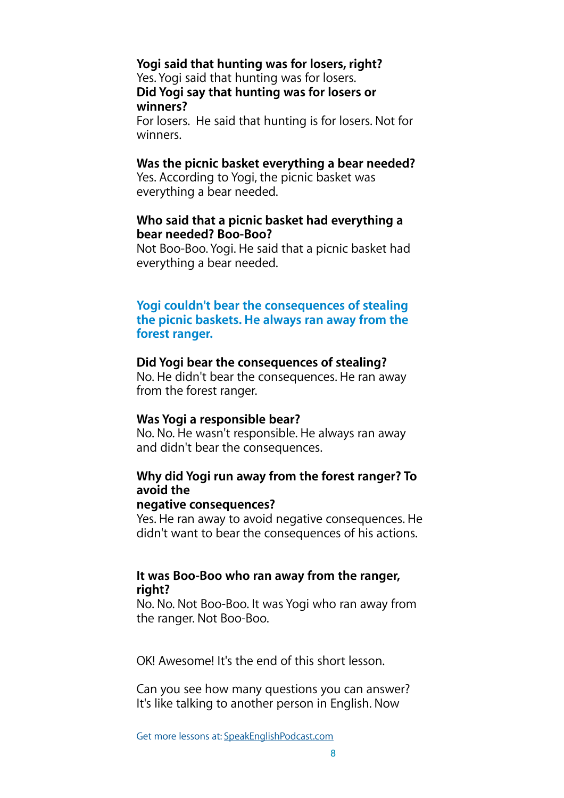## **Yogi said that hunting was for losers, right?**

Yes. Yogi said that hunting was for losers. **Did Yogi say that hunting was for losers or winners?** 

For losers. He said that hunting is for losers. Not for winners.

#### **Was the picnic basket everything a bear needed?**

Yes. According to Yogi, the picnic basket was everything a bear needed.

#### **Who said that a picnic basket had everything a bear needed? Boo-Boo?**

Not Boo-Boo. Yogi. He said that a picnic basket had everything a bear needed.

#### **Yogi couldn't bear the consequences of stealing the picnic baskets. He always ran away from the forest ranger.**

#### **Did Yogi bear the consequences of stealing?**

No. He didn't bear the consequences. He ran away from the forest ranger.

#### **Was Yogi a responsible bear?**

No. No. He wasn't responsible. He always ran away and didn't bear the consequences.

## **Why did Yogi run away from the forest ranger? To avoid the**

#### **negative consequences?**

Yes. He ran away to avoid negative consequences. He didn't want to bear the consequences of his actions.

### **It was Boo-Boo who ran away from the ranger, right?**

No. No. Not Boo-Boo. It was Yogi who ran away from the ranger. Not Boo-Boo.

OK! Awesome! It's the end of this short lesson.

Can you see how many questions you can answer? It's like talking to another person in English. Now